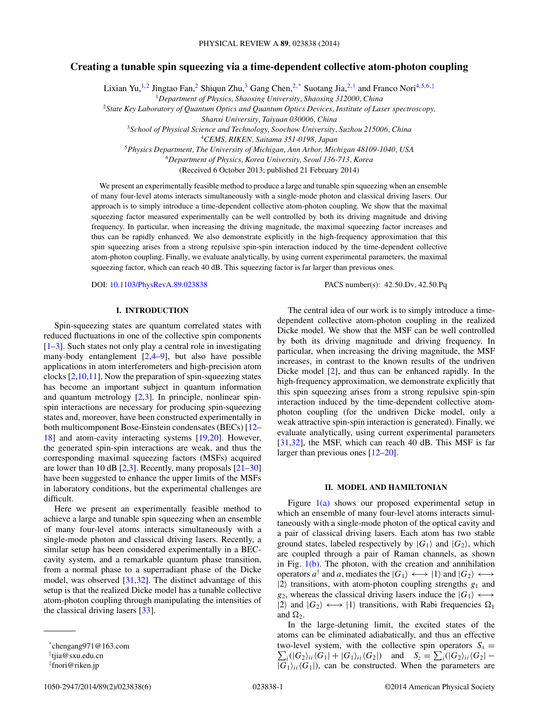# **Creating a tunable spin squeezing via a time-dependent collective atom-photon coupling**

Lixian Yu,<sup>1,2</sup> Jingtao Fan,<sup>2</sup> Shiqun Zhu,<sup>3</sup> Gang Chen,<sup>2,\*</sup> Suotang Jia,<sup>2,†</sup> and Franco Nori<sup>4,5,6,‡</sup>

<sup>1</sup>*Department of Physics, Shaoxing University, Shaoxing 312000, China*

<sup>2</sup>*State Key Laboratory of Quantum Optics and Quantum Optics Devices, Institute of Laser spectroscopy,*

*Shanxi University, Taiyuan 030006, China*

<sup>3</sup>*School of Physical Science and Technology, Soochow University, Suzhou 215006, China*

<sup>4</sup>*CEMS, RIKEN, Saitama 351-0198, Japan*

<sup>5</sup>*Physics Department, The University of Michigan, Ann Arbor, Michigan 48109-1040, USA*

<sup>6</sup>*Department of Physics, Korea University, Seoul 136-713, Korea*

(Received 6 October 2013; published 21 February 2014)

We present an experimentally feasible method to produce a large and tunable spin squeezing when an ensemble of many four-level atoms interacts simultaneously with a single-mode photon and classical driving lasers. Our approach is to simply introduce a time-dependent collective atom-photon coupling. We show that the maximal squeezing factor measured experimentally can be well controlled by both its driving magnitude and driving frequency. In particular, when increasing the driving magnitude, the maximal squeezing factor increases and thus can be rapidly enhanced. We also demonstrate explicitly in the high-frequency approximation that this spin squeezing arises from a strong repulsive spin-spin interaction induced by the time-dependent collective atom-photon coupling. Finally, we evaluate analytically, by using current experimental parameters, the maximal squeezing factor, which can reach 40 dB. This squeezing factor is far larger than previous ones.

DOI: [10.1103/PhysRevA.89.023838](http://dx.doi.org/10.1103/PhysRevA.89.023838) PACS number(s): 42*.*50*.*Dv*,* 42*.*50*.*Pq

# **I. INTRODUCTION**

Spin-squeezing states are quantum correlated states with reduced fluctuations in one of the collective spin components [\[1–3\]](#page-5-0). Such states not only play a central role in investigating many-body entanglement  $[2,4–9]$ , but also have possible applications in atom interferometers and high-precision atom clocks [\[2,10,11\]](#page-5-0). Now the preparation of spin-squeezing states has become an important subject in quantum information and quantum metrology [\[2,3\]](#page-5-0). In principle, nonlinear spinspin interactions are necessary for producing spin-squeezing states and, moreover, have been constructed experimentally in both multicomponent Bose-Einstein condensates (BECs) [\[12–](#page-5-0) [18\]](#page-5-0) and atom-cavity interacting systems [\[19,20\]](#page-5-0). However, the generated spin-spin interactions are weak, and thus the corresponding maximal squeezing factors (MSFs) acquired are lower than 10 dB  $[2,3]$ . Recently, many proposals  $[21-30]$ have been suggested to enhance the upper limits of the MSFs in laboratory conditions, but the experimental challenges are difficult.

Here we present an experimentally feasible method to achieve a large and tunable spin squeezing when an ensemble of many four-level atoms interacts simultaneously with a single-mode photon and classical driving lasers. Recently, a similar setup has been considered experimentally in a BECcavity system, and a remarkable quantum phase transition, from a normal phase to a superradiant phase of the Dicke model, was observed [\[31,32\]](#page-5-0). The distinct advantage of this setup is that the realized Dicke model has a tunable collective atom-photon coupling through manipulating the intensities of the classical driving lasers [\[33\]](#page-5-0).

1050-2947/2014/89(2)/023838(6) 023838-1 ©2014 American Physical Society

The central idea of our work is to simply introduce a timedependent collective atom-photon coupling in the realized Dicke model. We show that the MSF can be well controlled by both its driving magnitude and driving frequency. In particular, when increasing the driving magnitude, the MSF increases, in contrast to the known results of the undriven Dicke model [\[2\]](#page-5-0), and thus can be enhanced rapidly. In the high-frequency approximation, we demonstrate explicitly that this spin squeezing arises from a strong repulsive spin-spin interaction induced by the time-dependent collective atomphoton coupling (for the undriven Dicke model, only a weak attractive spin-spin interaction is generated). Finally, we evaluate analytically, using current experimental parameters [\[31,32\]](#page-5-0), the MSF, which can reach 40 dB. This MSF is far larger than previous ones [\[12–20\]](#page-5-0).

## **II. MODEL AND HAMILTONIAN**

Figure  $1(a)$  shows our proposed experimental setup in which an ensemble of many four-level atoms interacts simultaneously with a single-mode photon of the optical cavity and a pair of classical driving lasers. Each atom has two stable ground states, labeled respectively by  $|G_1\rangle$  and  $|G_2\rangle$ , which are coupled through a pair of Raman channels, as shown in Fig.  $1(b)$ . The photon, with the creation and annihilation operators  $a^{\dagger}$  and *a*, mediates the  $|G_1\rangle \leftrightarrow |1\rangle$  and  $|G_2\rangle \leftrightarrow$  $|2\rangle$  transitions, with atom-photon coupling strengths  $g_1$  and  $g_2$ , whereas the classical driving lasers induce the  $|G_1\rangle \longleftrightarrow$  $|2\rangle$  and  $|G_2\rangle \longleftrightarrow |1\rangle$  transitions, with Rabi frequencies  $\Omega_1$ and  $\Omega_2$ .

In the large-detuning limit, the excited states of the atoms can be eliminated adiabatically, and thus an effective two-level system, with the collective spin operators  $S_x =$  $\sum_{i}(|G_2\rangle_{ii}\langle G_1|+|G_1\rangle_{ii}\langle G_2|)$  and  $S_z = \sum_{i}(|G_2\rangle_{ii}\langle G_2| |G_1\rangle$ <sub>*ii*</sub> $\langle G_1|$ , can be constructed. When the parameters are

<sup>\*</sup>chengang971@163.com

<sup>†</sup> tjia@sxu.edu.cn

<sup>‡</sup> fnori@riken.jp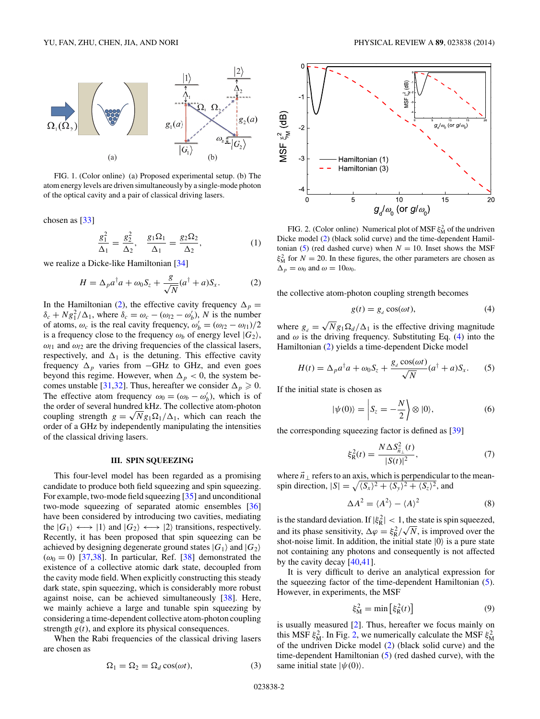<span id="page-1-0"></span>

FIG. 1. (Color online) (a) Proposed experimental setup. (b) The atom energy levels are driven simultaneously by a single-mode photon of the optical cavity and a pair of classical driving lasers.

chosen as [\[33\]](#page-5-0)

$$
\frac{g_1^2}{\Delta_1} = \frac{g_2^2}{\Delta_2}, \quad \frac{g_1 \Omega_1}{\Delta_1} = \frac{g_2 \Omega_2}{\Delta_2}, \tag{1}
$$

we realize a Dicke-like Hamiltonian [\[34\]](#page-5-0)

$$
H = \Delta_p a^{\dagger} a + \omega_0 S_z + \frac{g}{\sqrt{N}} (a^{\dagger} + a) S_x.
$$
 (2)

In the Hamiltonian (2), the effective cavity frequency  $\Delta_p$  =  $\delta_c + N g_1^2 / \Delta_1$ , where  $\delta_c = \omega_c - (\omega_{l2} - \omega_b')$ , *N* is the number of atoms,  $\omega_c$  is the real cavity frequency,  $\omega'_b = (\omega_{l2} - \omega_{l1})/2$ is a frequency close to the frequency  $\omega_b$  of energy level  $|G_2\rangle$ ,  $\omega_{l1}$  and  $\omega_{l2}$  are the driving frequencies of the classical lasers, respectively, and  $\Delta_1$  is the detuning. This effective cavity frequency  $\Delta_p$  varies from −GHz to GHz, and even goes beyond this regime. However, when  $\Delta_p < 0$ , the system be-comes unstable [\[31,32\]](#page-5-0). Thus, hereafter we consider  $\Delta_p \geq 0$ . The effective atom frequency  $\omega_0 = (\omega_b - \omega'_b)$ , which is of the order of several hundred kHz. The collective atom-photon the order of several hundred kHz. The collective atom-photon coupling strength  $g = \sqrt{N}g_1\Omega_1/\Delta_1$ , which can reach the order of a GHz by independently manipulating the intensities of the classical driving lasers.

## **III. SPIN SQUEEZING**

This four-level model has been regarded as a promising candidate to produce both field squeezing and spin squeezing. For example, two-mode field squeezing [\[35\]](#page-5-0) and unconditional two-mode squeezing of separated atomic ensembles [\[36\]](#page-5-0) have been considered by introducing two cavities, mediating the  $|G_1\rangle \longleftrightarrow |1\rangle$  and  $|G_2\rangle \longleftrightarrow |2\rangle$  transitions, respectively. Recently, it has been proposed that spin squeezing can be achieved by designing degenerate ground states  $|G_1\rangle$  and  $|G_2\rangle$  $(\omega_0 = 0)$  [\[37,38\]](#page-5-0). In particular, Ref. [\[38\]](#page-5-0) demonstrated the existence of a collective atomic dark state, decoupled from the cavity mode field. When explicitly constructing this steady dark state, spin squeezing, which is considerably more robust against noise, can be achieved simultaneously [\[38\]](#page-5-0). Here, we mainly achieve a large and tunable spin squeezing by considering a time-dependent collective atom-photon coupling strength  $g(t)$ , and explore its physical consequences.

When the Rabi frequencies of the classical driving lasers are chosen as

$$
\Omega_1 = \Omega_2 = \Omega_d \cos(\omega t),\tag{3}
$$



FIG. 2. (Color online) Numerical plot of MSF  $\xi_M^2$  of the undriven Dicke model (2) (black solid curve) and the time-dependent Hamiltonian (5) (red dashed curve) when  $N = 10$ . Inset shows the MSF  $\xi_{\text{M}}^2$  for  $N = 20$ . In these figures, the other parameters are chosen as  $\Delta_p = \omega_0$  and  $\omega = 10\omega_0$ .

the collective atom-photon coupling strength becomes

$$
g(t) = g_d \cos(\omega t), \tag{4}
$$

where  $g_d = \sqrt{N} g_1 \Omega_d / \Delta_1$  is the effective driving magnitude and  $\omega$  is the driving frequency. Substituting Eq. (4) into the Hamiltonian (2) yields a time-dependent Dicke model

$$
H(t) = \Delta_p a^{\dagger} a + \omega_0 S_z + \frac{g_d \cos(\omega t)}{\sqrt{N}} (a^{\dagger} + a) S_x.
$$
 (5)

If the initial state is chosen as

$$
|\psi(0)\rangle = \left| S_z = -\frac{N}{2} \right| \otimes |0\rangle,\tag{6}
$$

the corresponding squeezing factor is defined as [\[39\]](#page-5-0)

$$
\xi_{\mathcal{R}}^2(t) = \frac{N \Delta S_{\vec{n}_{\perp}}^2(t)}{|S(t)|^2},\tag{7}
$$

where  $\vec{n}_{\perp}$  refers to an axis, which is perpendicular to the meanspin direction,  $|S| = \sqrt{\langle S_x \rangle^2 + \langle S_y \rangle^2 + \langle S_z \rangle^2}$ , and

$$
\Delta A^2 = \langle A^2 \rangle - \langle A \rangle^2 \tag{8}
$$

is the standard deviation. If  $|\xi_R^2| < 1$ , the state is spin squeezed, and its phase sensitivity,  $\Delta \varphi = \xi_R^2 / \sqrt{N}$ , is improved over the shot-noise limit. In addition, the initial state  $|0\rangle$  is a pure state not containing any photons and consequently is not affected by the cavity decay [\[40,41\]](#page-5-0).

It is very difficult to derive an analytical expression for the squeezing factor of the time-dependent Hamiltonian (5). However, in experiments, the MSF

$$
\xi_{\rm M}^2 = \min\left[\xi_{\rm R}^2(t)\right] \tag{9}
$$

is usually measured [\[2\]](#page-5-0). Thus, hereafter we focus mainly on this MSF  $\xi_M^2$ . In Fig. 2, we numerically calculate the MSF  $\xi_M^2$ of the undriven Dicke model (2) (black solid curve) and the time-dependent Hamiltonian (5) (red dashed curve), with the same initial state  $|\psi(0)\rangle$ .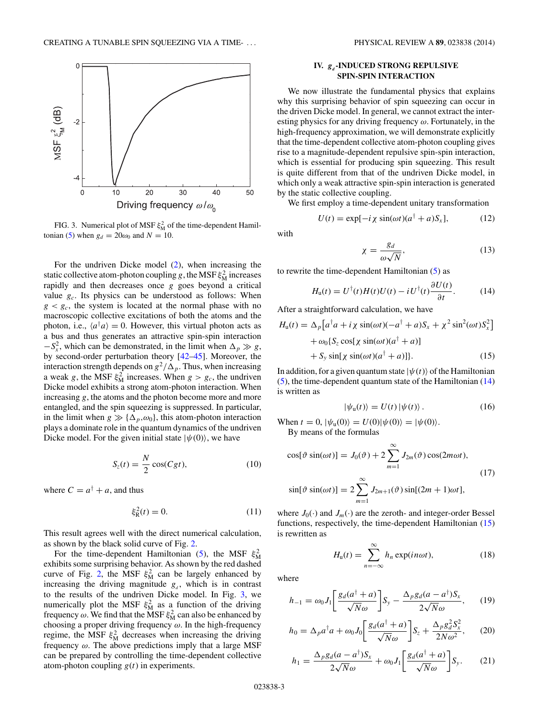<span id="page-2-0"></span>

FIG. 3. Numerical plot of MSF  $\xi_{\text{M}}^2$  of the time-dependent Hamil-tonian [\(5\)](#page-1-0) when  $g_d = 20\omega_0$  and  $N = 10$ .

For the undriven Dicke model [\(2\)](#page-1-0), when increasing the static collective atom-photon coupling *g*, the MSF  $\xi_{\text{M}}^2$  increases rapidly and then decreases once *g* goes beyond a critical value  $g_c$ . Its physics can be understood as follows: When  $g < g_c$ , the system is located at the normal phase with no macroscopic collective excitations of both the atoms and the photon, i.e.,  $\langle a^{\dagger} a \rangle = 0$ . However, this virtual photon acts as a bus and thus generates an attractive spin-spin interaction  $-S_x^2$ , which can be demonstrated, in the limit when  $\Delta_p \gg g$ , by second-order perturbation theory [\[42–45\]](#page-5-0). Moreover, the interaction strength depends on  $g^2/\Delta_p$ . Thus, when increasing a weak *g*, the MSF  $\xi_{\text{M}}^2$  increases. When  $g > g_c$ , the undriven Dicke model exhibits a strong atom-photon interaction. When increasing *g*, the atoms and the photon become more and more entangled, and the spin squeezing is suppressed. In particular, in the limit when  $g \gg {\{\Delta_p, \omega_0\}}$ , this atom-photon interaction plays a dominate role in the quantum dynamics of the undriven Dicke model. For the given initial state  $|\psi(0)\rangle$ , we have

$$
S_z(t) = \frac{N}{2}\cos(Cgt),\tag{10}
$$

where  $C = a^{\dagger} + a$ , and thus

$$
\xi_{\rm R}^2(t) = 0. \tag{11}
$$

This result agrees well with the direct numerical calculation, as shown by the black solid curve of Fig. [2.](#page-1-0)

For the time-dependent Hamiltonian [\(5\)](#page-1-0), the MSF  $\xi_{\text{M}}^2$ exhibits some surprising behavior. As shown by the red dashed curve of Fig. [2,](#page-1-0) the MSF  $\xi_{\text{M}}^2$  can be largely enhanced by increasing the driving magnitude  $g_{d}$ , which is in contrast to the results of the undriven Dicke model. In Fig. 3, we numerically plot the MSF  $\xi_{\text{M}}^2$  as a function of the driving frequency  $\omega$ . We find that the  $\widetilde{\text{MSF}} \xi_{\text{M}}^2$  can also be enhanced by choosing a proper driving frequency *ω*. In the high-frequency regime, the MSF  $\xi_M^2$  decreases when increasing the driving frequency *ω*. The above predictions imply that a large MSF can be prepared by controlling the time-dependent collective atom-photon coupling *g*(*t*) in experiments.

# **IV.**  $g_d$ -INDUCED STRONG REPULSIVE **SPIN-SPIN INTERACTION**

We now illustrate the fundamental physics that explains why this surprising behavior of spin squeezing can occur in the driven Dicke model. In general, we cannot extract the interesting physics for any driving frequency *ω*. Fortunately, in the high-frequency approximation, we will demonstrate explicitly that the time-dependent collective atom-photon coupling gives rise to a magnitude-dependent repulsive spin-spin interaction, which is essential for producing spin squeezing. This result is quite different from that of the undriven Dicke model, in which only a weak attractive spin-spin interaction is generated by the static collective coupling.

We first employ a time-dependent unitary transformation

$$
U(t) = \exp[-i\chi\sin(\omega t)(a^{\dagger} + a)S_x],\tag{12}
$$

with

$$
\chi = \frac{g_d}{\omega \sqrt{N}},\tag{13}
$$

to rewrite the time-dependent Hamiltonian [\(5\)](#page-1-0) as

$$
H_{\mathbf{u}}(t) = U^{\dagger}(t)H(t)U(t) - iU^{\dagger}(t)\frac{\partial U(t)}{\partial t}.
$$
 (14)

After a straightforward calculation, we have

$$
H_{\mathbf{u}}(t) = \Delta_p \left[ a^{\dagger} a + i \chi \sin(\omega t) (-a^{\dagger} + a) S_x + \chi^2 \sin^2(\omega t) S_x^2 \right]
$$
  
+  $\omega_0 \{ S_z \cos[\chi \sin(\omega t) (a^{\dagger} + a)]$   
+  $S_y \sin[\chi \sin(\omega t) (a^{\dagger} + a)] \}.$  (15)

In addition, for a given quantum state  $|\psi(t)\rangle$  of the Hamiltonian [\(5\)](#page-1-0), the time-dependent quantum state of the Hamiltonian (14) is written as

$$
|\psi_{\mathbf{u}}(t)\rangle = U(t) |\psi(t)\rangle. \tag{16}
$$

When  $t = 0$ ,  $|\psi_u(0)\rangle = U(0)|\psi(0)\rangle = |\psi(0)\rangle$ . By means of the formulas

$$
\cos[\vartheta \sin(\omega t)] = J_0(\vartheta) + 2 \sum_{m=1}^{\infty} J_{2m}(\vartheta) \cos(2m\omega t),
$$
  
\n
$$
\sin[\vartheta \sin(\omega t)] = 2 \sum_{m=1}^{\infty} J_{2m+1}(\vartheta) \sin[(2m+1)\omega t],
$$
\n(17)

$$
\sin[\vartheta \sin(\omega t)] = 2 \sum_{m=1}^{n} J_{2m+1}(\vartheta) \sin[(2m+1)\omega t],
$$

where  $J_0(\cdot)$  and  $J_m(\cdot)$  are the zeroth- and integer-order Bessel functions, respectively, the time-dependent Hamiltonian (15) is rewritten as

$$
H_{\mathbf{u}}(t) = \sum_{n=-\infty}^{\infty} h_n \exp(in\omega t), \tag{18}
$$

where

$$
h_{-1} = \omega_0 J_1 \left[ \frac{g_d(a^\dagger + a)}{\sqrt{N}\omega} \right] S_y - \frac{\Delta_p g_d(a - a^\dagger) S_x}{2\sqrt{N}\omega}, \qquad (19)
$$

$$
h_0 = \Delta_p a^\dagger a + \omega_0 J_0 \left[ \frac{g_d (a^\dagger + a)}{\sqrt{N} \omega} \right] S_z + \frac{\Delta_p g_d^2 S_x^2}{2N \omega^2},\qquad(20)
$$

$$
h_1 = \frac{\Delta_p g_d (a - a^\dagger) S_x}{2\sqrt{N}\omega} + \omega_0 J_1 \left[ \frac{g_d (a^\dagger + a)}{\sqrt{N}\omega} \right] S_y. \tag{21}
$$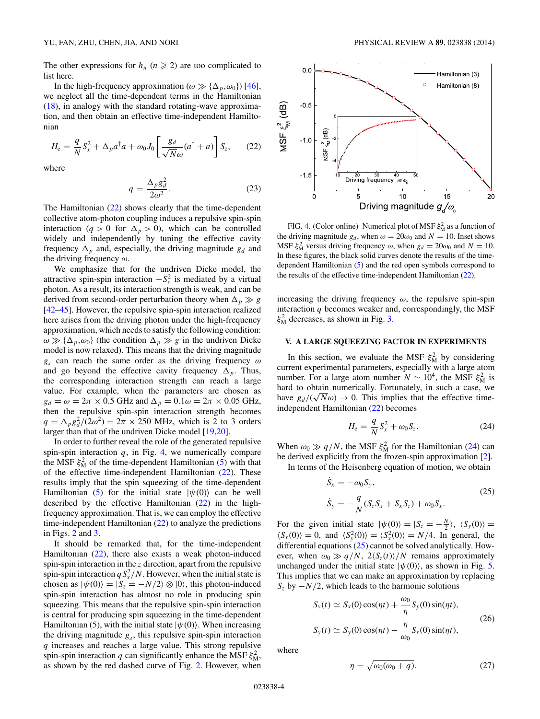<span id="page-3-0"></span>The other expressions for  $h_n$  ( $n \ge 2$ ) are too complicated to list here.

In the high-frequency approximation ( $\omega \gg {\{\Delta_n, \omega_0\}}$ ) [\[46\]](#page-5-0), we neglect all the time-dependent terms in the Hamiltonian [\(18\)](#page-2-0), in analogy with the standard rotating-wave approximation, and then obtain an effective time-independent Hamiltonian

$$
H_{\rm e} = \frac{q}{N} S_x^2 + \Delta_p a^\dagger a + \omega_0 J_0 \left[ \frac{g_d}{\sqrt{N}\omega} (a^\dagger + a) \right] S_z, \qquad (22)
$$

where

$$
q = \frac{\Delta_p g_d^2}{2\omega^2}.
$$
 (23)

The Hamiltonian (22) shows clearly that the time-dependent collective atom-photon coupling induces a repulsive spin-spin interaction (*q* > 0 for  $\Delta_p$  > 0), which can be controlled widely and independently by tuning the effective cavity frequency  $\Delta_p$  and, especially, the driving magnitude  $g_d$  and the driving frequency *ω*.

We emphasize that for the undriven Dicke model, the attractive spin-spin interaction  $-S_x^2$  is mediated by a virtual photon. As a result, its interaction strength is weak, and can be derived from second-order perturbation theory when  $\Delta_p \gg g$ [\[42–45\]](#page-5-0). However, the repulsive spin-spin interaction realized here arises from the driving photon under the high-frequency approximation, which needs to satisfy the following condition:  $\omega \gg {\{\Delta_p, \omega_0\}}$  (the condition  $\Delta_p \gg g$  in the undriven Dicke model is now relaxed). This means that the driving magnitude *gd* can reach the same order as the driving frequency *ω* and go beyond the effective cavity frequency  $\Delta_p$ . Thus, the corresponding interaction strength can reach a large value. For example, when the parameters are chosen as  $g_d = \omega = 2\pi \times 0.5$  GHz and  $\Delta_p = 0.1\omega = 2\pi \times 0.05$  GHz, then the repulsive spin-spin interaction strength becomes  $q = \Delta_p g_d^2/(2\omega^2) = 2\pi \times 250$  MHz, which is 2 to 3 orders larger than that of the undriven Dicke model [\[19,20\]](#page-5-0).

In order to further reveal the role of the generated repulsive spin-spin interaction  $q$ , in Fig. 4, we numerically compare the MSF  $\xi_{\text{M}}^2$  of the time-dependent Hamiltonian [\(5\)](#page-1-0) with that of the effective time-independent Hamiltonian (22). These results imply that the spin squeezing of the time-dependent Hamiltonian [\(5\)](#page-1-0) for the initial state  $|\psi(0)\rangle$  can be well described by the effective Hamiltonian  $(22)$  in the highfrequency approximation. That is, we can employ the effective time-independent Hamiltonian (22) to analyze the predictions in Figs. [2](#page-1-0) and [3.](#page-2-0)

It should be remarked that, for the time-independent Hamiltonian (22), there also exists a weak photon-induced spin-spin interaction in the *z* direction, apart from the repulsive spin-spin interaction  $qS_x^2/N$ . However, when the initial state is chosen as  $|\psi(0)\rangle = |S_z = -N/2\rangle \otimes |0\rangle$ , this photon-induced spin-spin interaction has almost no role in producing spin squeezing. This means that the repulsive spin-spin interaction is central for producing spin squeezing in the time-dependent Hamiltonian [\(5\)](#page-1-0), with the initial state  $|\psi(0)\rangle$ . When increasing the driving magnitude  $g_d$ , this repulsive spin-spin interaction *q* increases and reaches a large value. This strong repulsive spin-spin interaction *q* can significantly enhance the MSF  $\xi_M^2$ , as shown by the red dashed curve of Fig. [2.](#page-1-0) However, when



FIG. 4. (Color online) Numerical plot of MSF  $\xi_{\rm M}^2$  as a function of the driving magnitude  $g_d$ , when  $\omega = 20\omega_0$  and  $N = 10$ . Inset shows MSF  $\xi_{\text{M}}^2$  versus driving frequency  $\omega$ , when  $g_d = 20\omega_0$  and  $N = 10$ . In these figures, the black solid curves denote the results of the timedependent Hamiltonian [\(5\)](#page-1-0) and the red open symbols correspond to the results of the effective time-independent Hamiltonian (22).

increasing the driving frequency  $\omega$ , the repulsive spin-spin interaction *q* becomes weaker and, correspondingly, the MSF  $\xi_{\rm M}^2$  decreases, as shown in Fig. [3.](#page-2-0)

# **V. A LARGE SQUEEZING FACTOR IN EXPERIMENTS**

In this section, we evaluate the MSF  $\xi_{\rm M}^2$  by considering current experimental parameters, especially with a large atom number. For a large atom number  $N \sim 10^4$ , the MSF  $\xi_M^2$  is hard to obtain numerically. Fortunately, in such a case, we hard to obtain numerically. Fortunately, in such a case, we<br>have  $g_d/(\sqrt{N}\omega) \rightarrow 0$ . This implies that the effective timeindependent Hamiltonian (22) becomes

$$
H_{\rm e} = \frac{q}{N}S_x^2 + \omega_0 S_z.
$$
 (24)

When  $\omega_0 \gg q/N$ , the MSF  $\xi_M^2$  for the Hamiltonian (24) can be derived explicitly from the frozen-spin approximation [\[2\]](#page-5-0).

In terms of the Heisenberg equation of motion, we obtain

$$
\dot{S}_x = -\omega_0 S_y,
$$
  
\n
$$
\dot{S}_y = -\frac{q}{N} (S_z S_x + S_x S_z) + \omega_0 S_x.
$$
\n(25)

For the given initial state  $|\psi(0)\rangle = |S_z = -\frac{N}{2}\rangle$ ,  $\langle S_y(0)\rangle =$  $\langle S_x(0) \rangle = 0$ , and  $\langle S_y^2(0) \rangle = \langle S_x^2(0) \rangle = N/4$ . In general, the differential equations  $(25)$  cannot be solved analytically. However, when  $\omega_0 \gg q/N$ ,  $2\langle S_z(t) \rangle/N$  remains approximately unchanged under the initial state  $|\psi(0)\rangle$ , as shown in Fig. [5.](#page-4-0) This implies that we can make an approximation by replacing *S<sub>z</sub>* by −*N/*2, which leads to the harmonic solutions

$$
S_x(t) \simeq S_x(0)\cos(\eta t) + \frac{\omega_0}{\eta} S_y(0)\sin(\eta t),
$$
  
\n
$$
S_y(t) \simeq S_y(0)\cos(\eta t) - \frac{\eta}{\omega_0} S_x(0)\sin(\eta t),
$$
\n(26)

where

$$
\eta = \sqrt{\omega_0(\omega_0 + q)}.\tag{27}
$$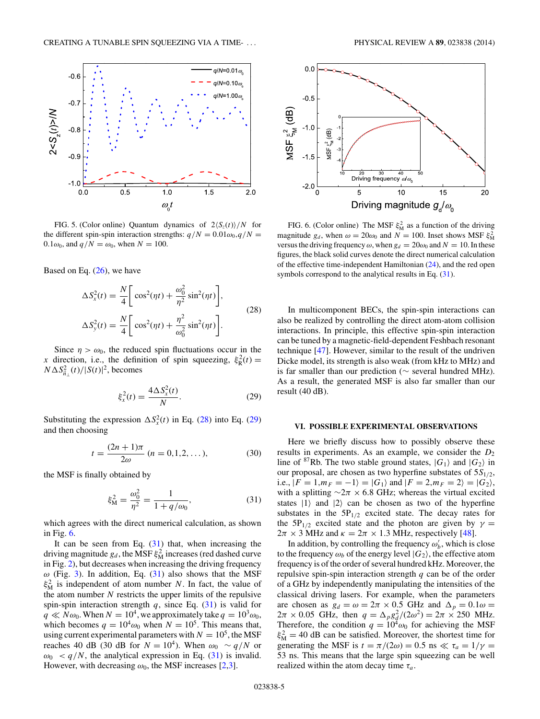<span id="page-4-0"></span>

FIG. 5. (Color online) Quantum dynamics of  $2\langle S_z(t) \rangle/N$  for the different spin-spin interaction strengths:  $q/N = 0.01\omega_0$ ,  $q/N =$  $0.1\omega_0$ , and  $q/N = \omega_0$ , when  $N = 100$ .

Based on Eq.  $(26)$ , we have

$$
\Delta S_x^2(t) = \frac{N}{4} \bigg[ \cos^2(\eta t) + \frac{\omega_0^2}{\eta^2} \sin^2(\eta t) \bigg],
$$
  

$$
\Delta S_y^2(t) = \frac{N}{4} \bigg[ \cos^2(\eta t) + \frac{\eta^2}{\omega_0^2} \sin^2(\eta t) \bigg].
$$
 (28)

Since  $\eta > \omega_0$ , the reduced spin fluctuations occur in the *x* direction, i.e., the definition of spin squeezing,  $\xi_R^2(t) =$  $N \Delta S_{\vec{n}_\perp}^2(t) / |S(t)|^2$ , becomes

$$
\xi_x^2(t) = \frac{4\Delta S_x^2(t)}{N}.
$$
 (29)

Substituting the expression  $\Delta S_x^2(t)$  in Eq. (28) into Eq. (29) and then choosing

$$
t = \frac{(2n+1)\pi}{2\omega} \ (n = 0, 1, 2, \dots), \tag{30}
$$

the MSF is finally obtained by

$$
\xi_{\rm M}^2 = \frac{\omega_0^2}{\eta^2} = \frac{1}{1 + q/\omega_0},\tag{31}
$$

which agrees with the direct numerical calculation, as shown in Fig. 6.

It can be seen from Eq.  $(31)$  that, when increasing the driving magnitude  $g_d$ , the MSF  $\xi_{\rm M}^2$  increases (red dashed curve in Fig. [2\)](#page-1-0), but decreases when increasing the driving frequency  $\omega$  (Fig. [3\)](#page-2-0). In addition, Eq. (31) also shows that the MSF  $\xi_{\text{M}}^2$  is independent of atom number *N*. In fact, the value of the atom number *N* restricts the upper limits of the repulsive spin-spin interaction strength  $q$ , since Eq.  $(31)$  is valid for  $q \ll N\omega_0$ . When  $N = 10^4$ , we approximately take  $q = 10^3 \omega_0$ , which becomes  $q = 10^4 \omega_0$  when  $N = 10^5$ . This means that, using current experimental parameters with  $N = 10^5$ , the MSF reaches 40 dB (30 dB for  $N = 10^4$ ). When  $\omega_0 \sim q/N$  or  $\omega_0$  < *q/N*, the analytical expression in Eq. (31) is invalid. However, with decreasing  $\omega_0$ , the MSF increases [\[2,3\]](#page-5-0).



FIG. 6. (Color online) The MSF  $\xi_{\text{M}}^2$  as a function of the driving magnitude  $g_d$ , when  $\omega = 20\omega_0$  and  $N = 100$ . Inset shows MSF  $\xi_M^2$ versus the driving frequency  $\omega$ , when  $g_d = 20\omega_0$  and  $N = 10$ . In these figures, the black solid curves denote the direct numerical calculation of the effective time-independent Hamiltonian [\(24\)](#page-3-0), and the red open symbols correspond to the analytical results in Eq.  $(31)$ .

In multicomponent BECs, the spin-spin interactions can also be realized by controlling the direct atom-atom collision interactions. In principle, this effective spin-spin interaction can be tuned by a magnetic-field-dependent Feshbach resonant technique [\[47\]](#page-5-0). However, similar to the result of the undriven Dicke model, its strength is also weak (from kHz to MHz) and is far smaller than our prediction (∼ several hundred MHz). As a result, the generated MSF is also far smaller than our result (40 dB).

#### **VI. POSSIBLE EXPERIMENTAL OBSERVATIONS**

Here we briefly discuss how to possibly observe these results in experiments. As an example, we consider the  $D_2$ line of <sup>87</sup>Rb. The two stable ground states,  $|G_1\rangle$  and  $|G_2\rangle$  in our proposal, are chosen as two hyperfine substates of 5*S*1*/*2, i.e.,  $|F = 1, m_F = -1$  =  $|G_1\rangle$  and  $|F = 2, m_F = 2$  =  $|G_2\rangle$ , with a splitting  $\sim$ 2 $\pi$  × 6.8 GHz; whereas the virtual excited states  $|1\rangle$  and  $|2\rangle$  can be chosen as two of the hyperfine substates in the  $5P_{1/2}$  excited state. The decay rates for the 5P<sub>1/2</sub> excited state and the photon are given by  $\gamma =$  $2\pi \times 3$  MHz and  $\kappa = 2\pi \times 1.3$  MHz, respectively [\[48\]](#page-5-0).

In addition, by controlling the frequency  $\omega'_b$ , which is close to the frequency  $\omega_b$  of the energy level  $|G_2\rangle$ , the effective atom frequency is of the order of several hundred kHz. Moreover, the repulsive spin-spin interaction strength *q* can be of the order of a GHz by independently manipulating the intensities of the classical driving lasers. For example, when the parameters are chosen as  $g_d = \omega = 2\pi \times 0.5$  GHz and  $\Delta_p = 0.1\omega =$  $2\pi \times 0.05$  GHz, then  $q = \Delta_p g_q^2/(2\omega^2) = 2\pi \times 250$  MHz. Therefore, the condition  $q = 10^4 \omega_0$  for achieving the MSF  $\xi_{\rm M}^2$  = 40 dB can be satisfied. Moreover, the shortest time for generating the MSF is  $t = \pi/(2\omega) = 0.5$  ns  $\ll \tau_a = 1/\gamma$ 53 ns. This means that the large spin squeezing can be well realized within the atom decay time *τa*.